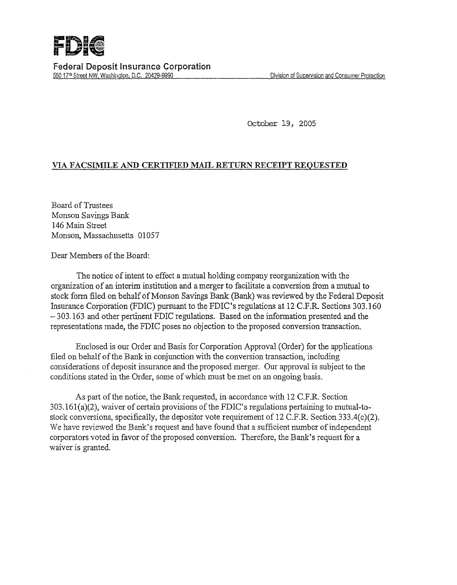

Federal Deposit Insurance Corporation 550 17<sup>th</sup> Street NW, Washington, D.C. 20429-9990 **Division of Supervision and Consumer Protection** 

October 19, 2005

## VIA FACSIMILE AND CERTIFIED MAIL RETURN RECEIPT REQUESTED

Board of Trustees Monson Savings Bank 146 Main Street Monson, Massachusetts 01057

Dear Members of the Board:

The notice of intent to effect a mutual holding company reorganization with the organization of an interim institution and a merger to facilitate a conversion from a mutual to stock form filed on behalf of Monson Savings Bank (Bank) was reviewed by the Federal Deposit Insurance Corporation (FDIC) pursuant to the FDIC's regulations at 12 C.F.R. Sections 303.160 - 303.163 and other pertinent FDIC regulations. Based on the information presented and the representations made, the FDIC poses no objection to the proposed conversion transaction.

Enclosed is our Order and Basis for Corporation Approval (Order) for the applications filed on behalf of the Bank in conjunction with the conversion transaction, including considerations of deposit insurance and the proposed merger. Our approval is subject to the conditions stated in the Order, some of which must be met on an ongoing basis.

As part of the notice, the Bank requested, in accordance with 12 C.P.R. Section  $303.161(a)(2)$ , waiver of certain provisions of the FDIC's regulations pertaining to mutual-tostock conversions, specifically, the depositor vote requirement of 12 C.P.R. Section 333.4(c)(2). We have reviewed the Bank's request and have found that a sufficient number of independent corporators voted in favor of the proposed conversion. Therefore, the Bank's request for a waiver is granted.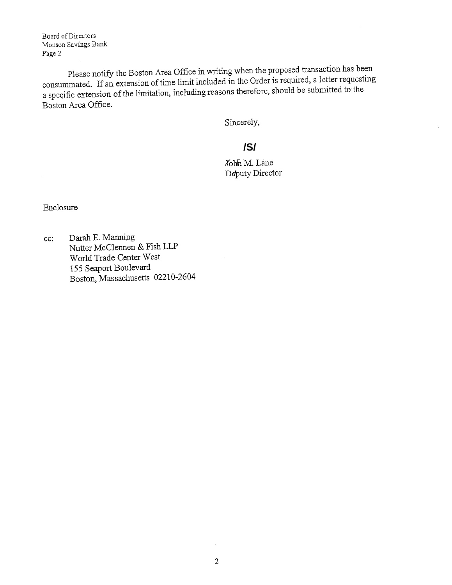Board of Directors Monson Savings Bank Page 2

Please notify the Boston Area Office in writing when the proposed transaction has been consummated. If an extension of time limit included in the Order is required, a letter requesting a specific extension of the limitation, including reasons therefore, should be submitted to the Boston Area Office.

Sincerely,

## **/S/**

John M. Lane Deputy Director

Enclosure

cc: Darah E. Manning Nutter McClemien & Fish LLP World Trade Center West *155* Seaport Boulevard Boston, Massachusetts 02210-2604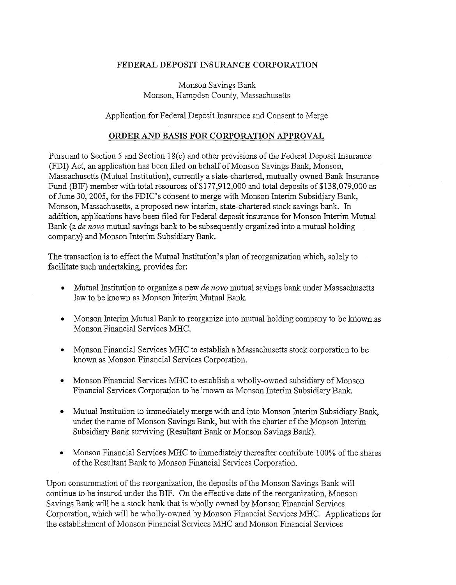## FEDERAL DEPOSIT INSURANCE CORPORATION

Monson Savings Bank Monson, Hampden County, Massachusetts

Application for Federal Deposit Insurance and Consent to Merge

## ORDER AND BASIS FOR CORPORATION APPROVAL

Pursuant to Section 5 and Section 18(c) and other provisions of the Federal Deposit Insurance (FDI) Act, an application has been filed on behalf of Monson Savings Bank, Monson, Massachusetts (Mutual Institution), currently a state-chartered, mutually-owned Bank Insurance Fund (BIF) member with total resources of\$177,912,000 and total deposits of \$138,079,000 as of June 30, 2005, for the FDIC's consent to merge with Monson Interim Subsidiary Bank, Monson, Massachusetts, a proposed new interim, state-chartered stock savings bank. In addition, applications have been filed for Federal deposit insurance for Monson Interim Mutual Bank (a *de novo* mutual savings bank to be subsequently organized into a mutual holding company) and Monson Interim Subsidiary Bank.

The transaction is to effect the Mutual Institution's plan of reorganization which, solely to facilitate such undertaking, provides for:

- Mutual Institution to organize a new *de novo* mutual savings bank under Massachusetts law to be known as Monson Interim Mutual Bank.
- Monson Interim Mutual Bank to reorganize into mutual holding company to be known as Monson Financial Services MHC.
- Monson Financial Services MHC to establish a Massachusetts stock corporation to be known as Monson Financial Services Corporation.
- Monson Financial Services MHC to establish a wholly-owned subsidiary of Monson Financial Services Corporation to be known as Monson Interim Subsidiary Bank.
- Mutual Institution to immediately merge with and into Monson Interim Subsidiary Bank, under the name of Monson Savings Bank, but with the charter of the Monson Interim Subsidiary Bank surviving (Resultant Bank or Monson Savings Bank).
- Monson Financial Services MHC to immediately thereafter contribute 100% of the shares of the Resultant Bank to Monson Financial Services Corporation.

Upon consummation of the reorganization, the deposits of the Monson Savings Bank will continue to be insured under the BIF. On the effective date of the reorganization, Monson Savings Bank will be a stock bank that is wholly owned by Monson Financial Services Corporation, which will be wholly-owned by Monson Financial Services MHC. Applications for the establishment of Monson Financial Services MHC and Monson Financial Services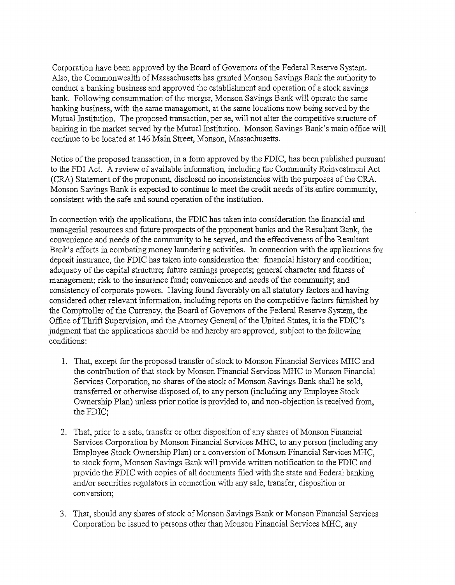Corporation have been approved by the Board of Governors of the Federal Reserve System. Also, the Commonwealth of Massachusetts has granted Monson Savings Bank the authority to conduct a banking business and approved the establishment and operation of a stock savings bank. Following consummation of the merger, Monson Savings Bank will operate the same banking business, with the same management, at the same locations now being served by the Mutual Institution. The proposed transaction, per se, will not alter the competitive stmcture of banking in the market served by the Mutual Institution. Monson Savings Bank's main office will continue to be located at 146 Main Street, Monson, Massachusetts.

Notice of the proposed transaction, in a form approved by the FDIC, has been published pursuant to the FDI Act. A review of available information, including the Community Reinvestment Act (CRA) Statement of the proponent, disclosed no inconsistencies with the purposes of the CRA. Monson Savings Bank is expected to continue to meet the credit needs of its entire community, consistent with the safe and sound operation of the institution.

In connection with the applications, the FDIC has taken into consideration the financial and managerial resources and future prospects of the proponent banks and the Resultant Bank, the convenience and needs of the community to be served, and the effectiveness of the Resultant Bank's efforts in combating money laundering activities. In connection with the applications for deposit insurance, the FDIC has taken into consideration the: financial history and condition; adequacy of the capital structure; future earnings prospects; general character and fitness of management; risk to the insurance fund; convenience and needs of the community; and consistency of corporate powers. Having found favorably on all statutory factors and having considered other relevant information, including reports on the competitive factors furnished by the Comptroller of the Currency, the Board of Governors of the Federal Reserve System, the Office of Thrift Supervision, and the Attorney General of the United States, it is the FDIC's judgment that the applications should be and hereby are approved, subject to the following conditions:

- 1. That, except for the proposed transfer of stock to Monson Financial Services MHC and the contribution of that stock by Monson Financial Services MHC to Monson Financial Services Corporation, no shares of the stock of Monson Savings Bank shall be sold, transferred or otherwise disposed of, to any person (including any Employee Stock Ownership Plan) unless prior notice is provided to, and non-objection is received from, the FDIC;
- 2. That, prior to a sale, transfer or other disposition of any shares of Monson Financial Services Corporation by Monson Financial Services MHC, to any person (including any Employee Stock Ownership Plan) or a conversion of Monson Financial Services MHC, to stock form; Monson Savings Bank will provide written notification to the FDIC and provide the FDIC with copies of all documents filed with the state and Federal banking and/or securities regulators in connection with any sale, transfer, disposition or conversion;
- 3. That, should any shares of stock of Monson Savings Bank or Monson Financial Services Corporation be issued to persons other than Monson Financial Services MHC, any